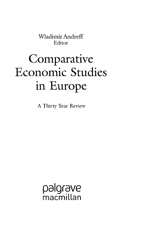Wladimir Andreff Editor

## **Comparative** Economic Studies in Europe

A Thirty Year Review

palgrave .<br>macmillan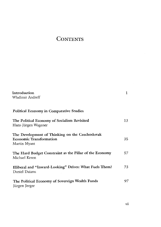## **CONTENTS**

| Introduction<br>Wladimir Andreff                                                                  | Ţ  |
|---------------------------------------------------------------------------------------------------|----|
| <b>Political Economy in Comparative Studies</b>                                                   |    |
| The Political Economy of Socialism Revisited<br>Hans-Jürgen Wagener                               | 13 |
| The Development of Thinking on the Czechoslovak<br><b>Economic Transformation</b><br>Martin Myant | 35 |
| The Hard Budget Constraint as the Pillar of the Economy<br>Michael Keren                          | 57 |
| Illiberal and "Inward-Looking" Drives: What Fuels Them?<br>Daniel Daianu                          | 73 |
| The Political Economy of Sovereign Wealth Funds<br>Jürgen Jerger                                  | 97 |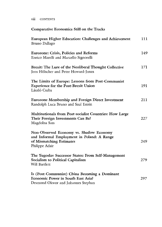viii CONTENTS

## **Comparative Economics Still on the Tracks**

| European Higher Education: Challenges and Achievement<br>Bruno Dallago                                                              | Пı  |
|-------------------------------------------------------------------------------------------------------------------------------------|-----|
| Eurozone: Crisis, Policies and Reforms<br>Enrico Marelli and Marcello Signorelli                                                    | 149 |
| Brexit: The Lure of the Neoliberal Thought Collective<br>Jens Hölscher and Peter Howard-Jones                                       | 171 |
| The Limits of Europe: Lessons from Post-Communist<br><b>Experience for the Post-Brexit Union</b><br>László Csaba                    | 191 |
| <b>Eurozone Membership and Foreign Direct Investment</b><br>Randolph Luca Bruno and Saul Estrin                                     | 211 |
| <b>Multinationals from Post-socialist Countries: How Large</b><br>Their Foreign Investments Can Be?<br>Magdolna Sass                | 227 |
| Non-Observed Economy vs. Shadow Economy<br>and Informal Employment in Poland: A Range<br>of Mismatching Estimates<br>Philippe Adair | 249 |
| The Yugoslav Successor States: From Self-Management<br>Socialism to Political Capitalism<br>Will Bartlett                           | 279 |
| Is (Post-Communist) China Becoming a Dominant<br>Economic Power in South East Asia?<br>Desmond Okwor and Johannes Stephan           | 297 |